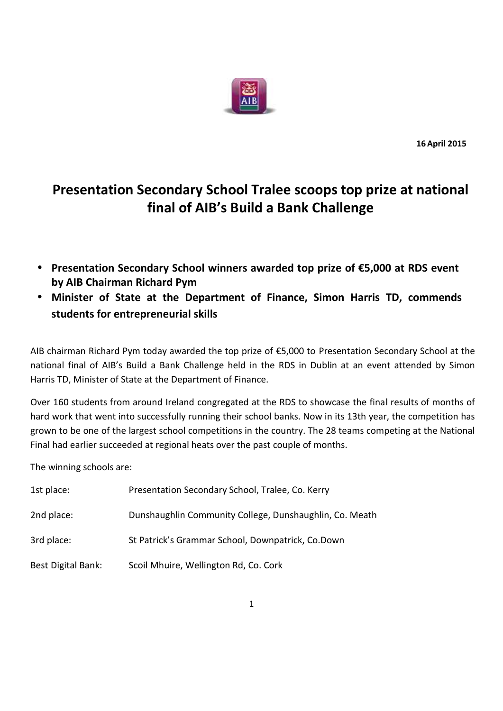

**16April 2015**

## **Presentation Secondary School Tralee scoops top prize at national final of AIB's Build a Bank Challenge**

- **Presentation Secondary School winners awarded top prize of €5,000 atRDS event by AIB Chairman Richard Pym**
- **Minister of State at the Department of Finance, Simon Harris TD, commends students for entrepreneurial skills**

AIB chairman Richard Pym today awarded the top prize of €5,000 to Presentation Secondary School at the national final of AIB's Build a Bank Challenge held in the RDS in Dublin at an event attended by Simon Harris TD, Minister of State at the Department of Finance.

Over 160 students from around Ireland congregated at the RDS to showcase the final results of months of hard work that went into successfully running their school banks. Now in its 13th year, the competition has grown to be one of the largest school competitions in the country. The 28 teams competing at the National Final had earlier succeeded at regional heats over the past couple of months.

The winning schools are:

| 1st place:         | Presentation Secondary School, Tralee, Co. Kerry        |
|--------------------|---------------------------------------------------------|
| 2nd place:         | Dunshaughlin Community College, Dunshaughlin, Co. Meath |
| 3rd place:         | St Patrick's Grammar School, Downpatrick, Co.Down       |
| Best Digital Bank: | Scoil Mhuire, Wellington Rd, Co. Cork                   |